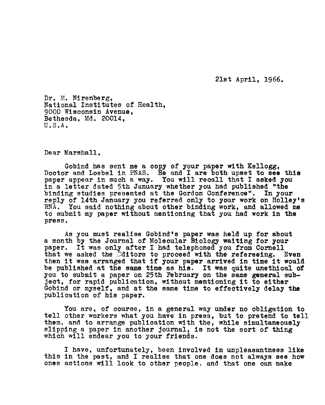2ist April, 1966.

Dr. M. Nirenberg, National Institutes of Health, 9000 Wisconsin Avenue, Bethesda, Md. 20014, U.S.A.

Dear Marshall,

Gobind has sent me a copy of your paper with Kellogg, Doctor and Loebel in PNAS. He and <sup>I</sup> are both upset to see this paper appear in such <sup>a</sup> way. You will recall that <sup>I</sup> asked you in a letter dated 5th January whether you had published "the binding studies presented at the Gordon Conference". In your reply of 14th January you referred only to your work on Holley's RNA. You said nothing about other binding work, and allowed me to submit my paper without mentioning that you had work in the press,

As you must realise Gobind's paper was held up for about a month by the Journal of Molecular Biology waiting for your paper. It was only after I had telephoned you from Cornell that we asked the *Editors* to proceed with the refereeing. Even then it was arranged that if your paper arrived in time it would be published at the game time as his. It was quite unethical of you to submit a paper on 25th February on the same general subject, for rapid publication, without mentioning it to either Gobind or myself, and at the same time to effectively delay the publication of his paper.

You are, of course, in a general way under no obligation to tell other workers what you have in press, but to pretend to tell them, and to arrange publication with the, while simultaneously slipping a paper in another journal, is not the sort of thing which will endear you to your friends.

I have, unfortunately, been involved in unpleasantness like this in the past, and I realise that one does not always see how ones actions will look to other people, and that one can make